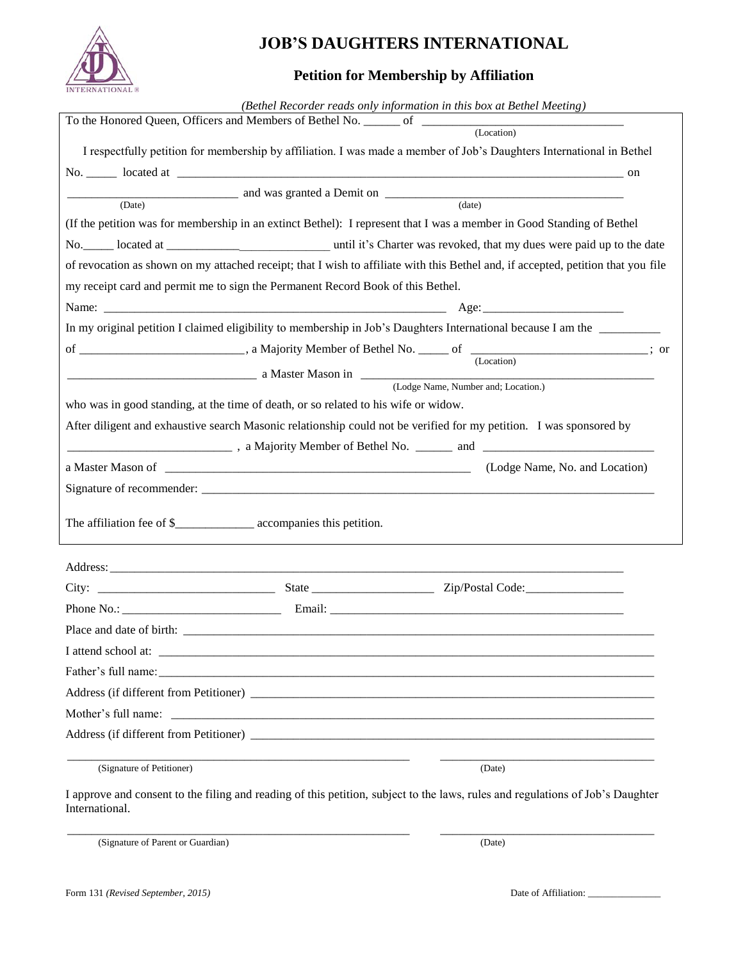

## **JOB'S DAUGHTERS INTERNATIONAL**

## **Petition for Membership by Affiliation**

|                                                                                     |  | (Bethel Recorder reads only information in this box at Bethel Meeting)                                                                                                                                                         |  |  |  |  |  |
|-------------------------------------------------------------------------------------|--|--------------------------------------------------------------------------------------------------------------------------------------------------------------------------------------------------------------------------------|--|--|--|--|--|
|                                                                                     |  |                                                                                                                                                                                                                                |  |  |  |  |  |
|                                                                                     |  | I respectfully petition for membership by affiliation. I was made a member of Job's Daughters International in Bethel                                                                                                          |  |  |  |  |  |
|                                                                                     |  |                                                                                                                                                                                                                                |  |  |  |  |  |
|                                                                                     |  | and was granted a Demit on (date) (date)                                                                                                                                                                                       |  |  |  |  |  |
|                                                                                     |  |                                                                                                                                                                                                                                |  |  |  |  |  |
|                                                                                     |  | (If the petition was for membership in an extinct Bethel): I represent that I was a member in Good Standing of Bethel                                                                                                          |  |  |  |  |  |
|                                                                                     |  |                                                                                                                                                                                                                                |  |  |  |  |  |
|                                                                                     |  | of revocation as shown on my attached receipt; that I wish to affiliate with this Bethel and, if accepted, petition that you file                                                                                              |  |  |  |  |  |
| my receipt card and permit me to sign the Permanent Record Book of this Bethel.     |  |                                                                                                                                                                                                                                |  |  |  |  |  |
|                                                                                     |  |                                                                                                                                                                                                                                |  |  |  |  |  |
|                                                                                     |  | In my original petition I claimed eligibility to membership in Job's Daughters International because I am the                                                                                                                  |  |  |  |  |  |
|                                                                                     |  |                                                                                                                                                                                                                                |  |  |  |  |  |
|                                                                                     |  | a Master Mason in (Lodge Name, Number and; Location.)                                                                                                                                                                          |  |  |  |  |  |
|                                                                                     |  |                                                                                                                                                                                                                                |  |  |  |  |  |
| who was in good standing, at the time of death, or so related to his wife or widow. |  |                                                                                                                                                                                                                                |  |  |  |  |  |
|                                                                                     |  | After diligent and exhaustive search Masonic relationship could not be verified for my petition. I was sponsored by                                                                                                            |  |  |  |  |  |
|                                                                                     |  | 2012. The State Level of Bethel No. 2014 and 2014 2022. The State Level of Bethel No. 2014 2022. 2023. The State Level of Bethel No. 2023. 2023. 2023. The State Level of Details and 2023. 2023. 2023. 2023. 2023. 2023. 2023 |  |  |  |  |  |
|                                                                                     |  | a Master Mason of <u>Container Communication</u> and Containing (Lodge Name, No. and Location)                                                                                                                                 |  |  |  |  |  |
|                                                                                     |  |                                                                                                                                                                                                                                |  |  |  |  |  |
| The affiliation fee of \$_______________________ accompanies this petition.         |  |                                                                                                                                                                                                                                |  |  |  |  |  |
|                                                                                     |  |                                                                                                                                                                                                                                |  |  |  |  |  |
|                                                                                     |  |                                                                                                                                                                                                                                |  |  |  |  |  |
|                                                                                     |  |                                                                                                                                                                                                                                |  |  |  |  |  |
| Place and date of birth:                                                            |  |                                                                                                                                                                                                                                |  |  |  |  |  |
|                                                                                     |  |                                                                                                                                                                                                                                |  |  |  |  |  |
|                                                                                     |  |                                                                                                                                                                                                                                |  |  |  |  |  |
|                                                                                     |  |                                                                                                                                                                                                                                |  |  |  |  |  |
| Mother's full name:                                                                 |  |                                                                                                                                                                                                                                |  |  |  |  |  |
|                                                                                     |  |                                                                                                                                                                                                                                |  |  |  |  |  |
| (Signature of Petitioner)                                                           |  | (Date)                                                                                                                                                                                                                         |  |  |  |  |  |

I approve and consent to the filing and reading of this petition, subject to the laws, rules and regulations of Job's Daughter International.

\_\_\_\_\_\_\_\_\_\_\_\_\_\_\_\_\_\_\_\_\_\_\_\_\_\_\_\_\_\_\_\_\_\_\_\_\_\_\_\_\_\_\_\_\_\_\_\_\_\_\_\_\_\_\_\_ \_\_\_\_\_\_\_\_\_\_\_\_\_\_\_\_\_\_\_\_\_\_\_\_\_\_\_\_\_\_\_\_\_\_\_

(Signature of Parent or Guardian) (Date)